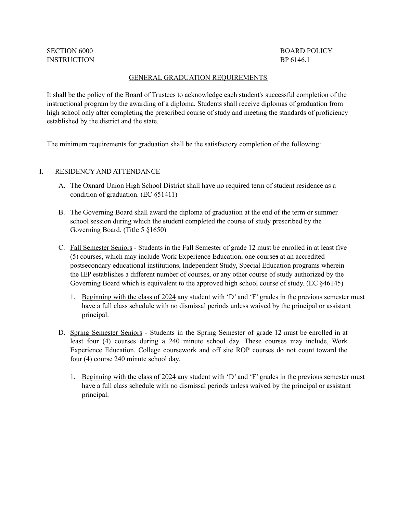# SECTION 6000 BOARD POLICY

#### GENERAL GRADUATION REQUIREMENTS

It shall be the policy of the Board of Trustees to acknowledge each student's successful completion of the instructional program by the awarding of a diploma. Students shall receive diplomas of graduation from high school only after completing the prescribed course of study and meeting the standards of proficiency established by the district and the state.

The minimum requirements for graduation shall be the satisfactory completion of the following:

#### I. RESIDENCY AND ATTENDANCE

- A. The Oxnard Union High School District shall have no required term of student residence as a condition of graduation. (EC §51411)
- B. The Governing Board shall award the diploma of graduation at the end of the term or summer school session during which the student completed the course of study prescribed by the Governing Board. (Title 5 §1650)
- C. Fall Semester Seniors Students in the Fall Semester of grade 12 must be enrolled in at least five (5) courses, which may include Work Experience Education, one courses at an accredited postsecondary educational institutions, Independent Study, Special Education programs wherein the IEP establishes a different number of courses, or any other course of study authorized by the Governing Board which is equivalent to the approved high school course of study. (EC §46145)
	- 1. Beginning with the class of 2024 any student with 'D' and 'F' grades in the previous semester must have a full class schedule with no dismissal periods unless waived by the principal or assistant principal.
- D. Spring Semester Seniors Students in the Spring Semester of grade 12 must be enrolled in at least four (4) courses during a 240 minute school day. These courses may include, Work Experience Education. College coursework and off site ROP courses do not count toward the four (4) course 240 minute school day.
	- 1. Beginning with the class of 2024 any student with 'D' and 'F' grades in the previous semester must have a full class schedule with no dismissal periods unless waived by the principal or assistant principal.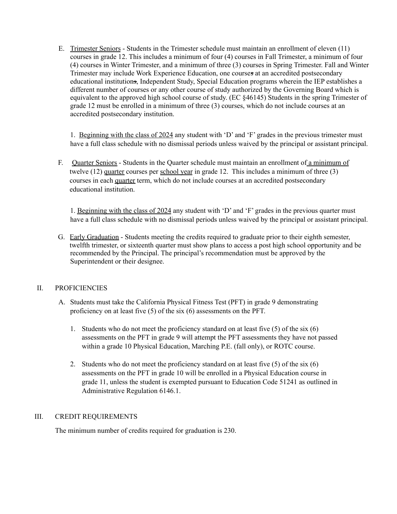E. Trimester Seniors - Students in the Trimester schedule must maintain an enrollment of eleven (11) courses in grade 12. This includes a minimum of four (4) courses in Fall Trimester, a minimum of four (4) courses in Winter Trimester, and a minimum of three (3) courses in Spring Trimester. Fall and Winter Trimester may include Work Experience Education, one courses at an accredited postsecondary educational institutions, Independent Study, Special Education programs wherein the IEP establishes a different number of courses or any other course of study authorized by the Governing Board which is equivalent to the approved high school course of study. (EC §46145) Students in the spring Trimester of grade 12 must be enrolled in a minimum of three (3) courses, which do not include courses at an accredited postsecondary institution.

1. Beginning with the class of 2024 any student with 'D' and 'F' grades in the previous trimester must have a full class schedule with no dismissal periods unless waived by the principal or assistant principal.

F. Quarter Seniors - Students in the Quarter schedule must maintain an enrollment of a minimum of twelve (12) quarter courses per school year in grade 12. This includes a minimum of three (3) courses in each quarter term, which do not include courses at an accredited postsecondary educational institution.

1. Beginning with the class of 2024 any student with 'D' and 'F' grades in the previous quarter must have a full class schedule with no dismissal periods unless waived by the principal or assistant principal.

G. Early Graduation - Students meeting the credits required to graduate prior to their eighth semester, twelfth trimester, or sixteenth quarter must show plans to access a post high school opportunity and be recommended by the Principal. The principal's recommendation must be approved by the Superintendent or their designee.

## II. PROFICIENCIES

- A. Students must take the California Physical Fitness Test (PFT) in grade 9 demonstrating proficiency on at least five (5) of the six (6) assessments on the PFT.
	- 1. Students who do not meet the proficiency standard on at least five (5) of the six (6) assessments on the PFT in grade 9 will attempt the PFT assessments they have not passed within a grade 10 Physical Education, Marching P.E. (fall only), or ROTC course.
	- 2. Students who do not meet the proficiency standard on at least five (5) of the six (6) assessments on the PFT in grade 10 will be enrolled in a Physical Education course in grade 11, unless the student is exempted pursuant to Education Code 51241 as outlined in Administrative Regulation 6146.1.

## III. CREDIT REQUIREMENTS

The minimum number of credits required for graduation is 230.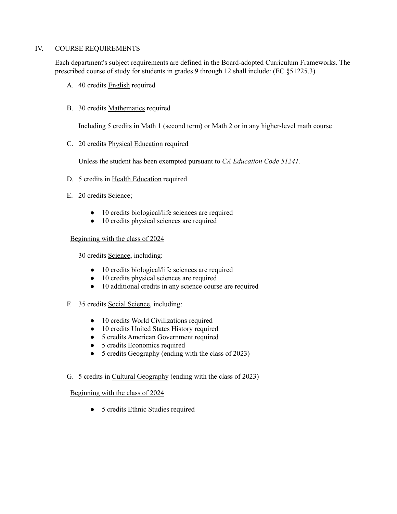## IV. COURSE REQUIREMENTS

Each department's subject requirements are defined in the Board-adopted Curriculum Frameworks. The prescribed course of study for students in grades 9 through 12 shall include: (EC §51225.3)

- A. 40 credits English required
- B. 30 credits Mathematics required

Including 5 credits in Math 1 (second term) or Math 2 or in any higher-level math course

C. 20 credits Physical Education required

Unless the student has been exempted pursuant to *CA Education Code 51241.*

- D. 5 credits in Health Education required
- E. 20 credits Science;
	- 10 credits biological/life sciences are required
	- 10 credits physical sciences are required

## Beginning with the class of 2024

30 credits Science, including:

- 10 credits biological/life sciences are required
- 10 credits physical sciences are required
- 10 additional credits in any science course are required
- F. 35 credits Social Science, including:
	- 10 credits World Civilizations required
	- 10 credits United States History required
	- 5 credits American Government required
	- 5 credits Economics required
	- 5 credits Geography (ending with the class of 2023)
- G. 5 credits in Cultural Geography (ending with the class of 2023)

## Beginning with the class of 2024

● 5 credits Ethnic Studies required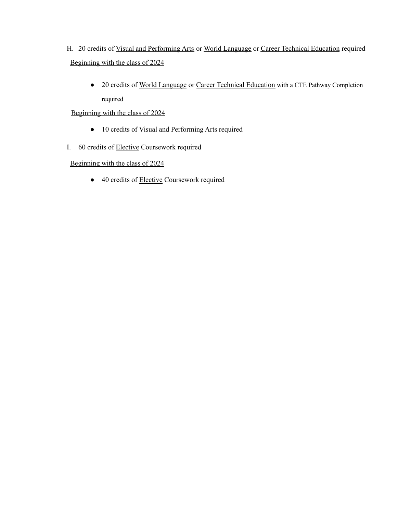- H. 20 credits of Visual and Performing Arts or World Language or Career Technical Education required Beginning with the class of 2024
	- 20 credits of World Language or Career Technical Education with a CTE Pathway Completion required

# Beginning with the class of 2024

- 10 credits of Visual and Performing Arts required
- I. 60 credits of Elective Coursework required

## Beginning with the class of 2024

● 40 credits of **Elective** Coursework required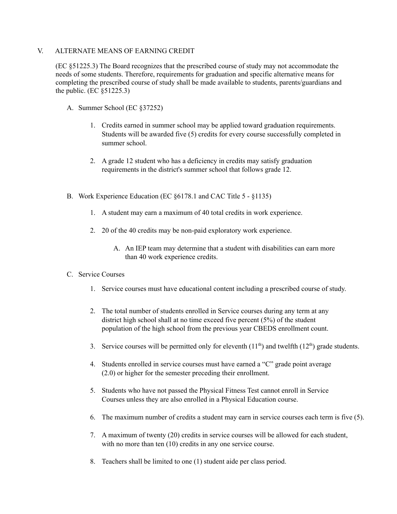## V. ALTERNATE MEANS OF EARNING CREDIT

(EC §51225.3) The Board recognizes that the prescribed course of study may not accommodate the needs of some students. Therefore, requirements for graduation and specific alternative means for completing the prescribed course of study shall be made available to students, parents/guardians and the public. (EC §51225.3)

- A. Summer School (EC §37252)
	- 1. Credits earned in summer school may be applied toward graduation requirements. Students will be awarded five (5) credits for every course successfully completed in summer school.
	- 2. A grade 12 student who has a deficiency in credits may satisfy graduation requirements in the district's summer school that follows grade 12.
- B. Work Experience Education (EC §6178.1 and CAC Title 5 §1135)
	- 1. A student may earn a maximum of 40 total credits in work experience.
	- 2. 20 of the 40 credits may be non-paid exploratory work experience.
		- A. An IEP team may determine that a student with disabilities can earn more than 40 work experience credits.

## C. Service Courses

- 1. Service courses must have educational content including a prescribed course of study.
- 2. The total number of students enrolled in Service courses during any term at any district high school shall at no time exceed five percent (5%) of the student population of the high school from the previous year CBEDS enrollment count.
- 3. Service courses will be permitted only for eleventh  $(11<sup>th</sup>)$  and twelfth  $(12<sup>th</sup>)$  grade students.
- 4. Students enrolled in service courses must have earned a "C" grade point average (2.0) or higher for the semester preceding their enrollment.
- 5. Students who have not passed the Physical Fitness Test cannot enroll in Service Courses unless they are also enrolled in a Physical Education course.
- 6. The maximum number of credits a student may earn in service courses each term is five (5).
- 7. A maximum of twenty (20) credits in service courses will be allowed for each student, with no more than ten  $(10)$  credits in any one service course.
- 8. Teachers shall be limited to one (1) student aide per class period.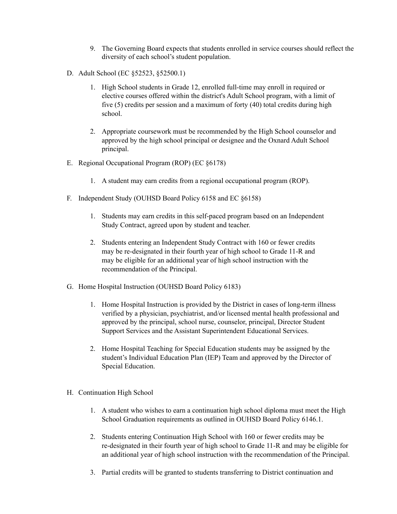- 9. The Governing Board expects that students enrolled in service courses should reflect the diversity of each school's student population.
- D. Adult School (EC §52523, §52500.1)
	- 1. High School students in Grade 12, enrolled full-time may enroll in required or elective courses offered within the district's Adult School program, with a limit of five (5) credits per session and a maximum of forty (40) total credits during high school.
	- 2. Appropriate coursework must be recommended by the High School counselor and approved by the high school principal or designee and the Oxnard Adult School principal.
- E. Regional Occupational Program (ROP) (EC §6178)
	- 1. A student may earn credits from a regional occupational program (ROP).
- F. Independent Study (OUHSD Board Policy 6158 and EC §6158)
	- 1. Students may earn credits in this self-paced program based on an Independent Study Contract, agreed upon by student and teacher.
	- 2. Students entering an Independent Study Contract with 160 or fewer credits may be re-designated in their fourth year of high school to Grade 11-R and may be eligible for an additional year of high school instruction with the recommendation of the Principal.
- G. Home Hospital Instruction (OUHSD Board Policy 6183)
	- 1. Home Hospital Instruction is provided by the District in cases of long-term illness verified by a physician, psychiatrist, and/or licensed mental health professional and approved by the principal, school nurse, counselor, principal, Director Student Support Services and the Assistant Superintendent Educational Services.
	- 2. Home Hospital Teaching for Special Education students may be assigned by the student's Individual Education Plan (IEP) Team and approved by the Director of Special Education.
- H. Continuation High School
	- 1. A student who wishes to earn a continuation high school diploma must meet the High School Graduation requirements as outlined in OUHSD Board Policy 6146.1.
	- 2. Students entering Continuation High School with 160 or fewer credits may be re-designated in their fourth year of high school to Grade 11-R and may be eligible for an additional year of high school instruction with the recommendation of the Principal.
	- 3. Partial credits will be granted to students transferring to District continuation and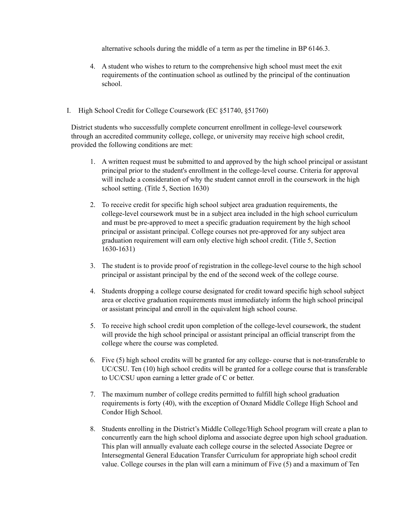alternative schools during the middle of a term as per the timeline in BP 6146.3.

- 4. A student who wishes to return to the comprehensive high school must meet the exit requirements of the continuation school as outlined by the principal of the continuation school.
- I. High School Credit for College Coursework (EC §51740, §51760)

District students who successfully complete concurrent enrollment in college-level coursework through an accredited community college, college, or university may receive high school credit, provided the following conditions are met:

- 1. A written request must be submitted to and approved by the high school principal or assistant principal prior to the student's enrollment in the college-level course. Criteria for approval will include a consideration of why the student cannot enroll in the coursework in the high school setting. (Title 5, Section 1630)
- 2. To receive credit for specific high school subject area graduation requirements, the college-level coursework must be in a subject area included in the high school curriculum and must be pre-approved to meet a specific graduation requirement by the high school principal or assistant principal. College courses not pre-approved for any subject area graduation requirement will earn only elective high school credit. (Title 5, Section 1630-1631)
- 3. The student is to provide proof of registration in the college-level course to the high school principal or assistant principal by the end of the second week of the college course.
- 4. Students dropping a college course designated for credit toward specific high school subject area or elective graduation requirements must immediately inform the high school principal or assistant principal and enroll in the equivalent high school course.
- 5. To receive high school credit upon completion of the college-level coursework, the student will provide the high school principal or assistant principal an official transcript from the college where the course was completed.
- 6. Five (5) high school credits will be granted for any college- course that is not-transferable to UC/CSU. Ten (10) high school credits will be granted for a college course that is transferable to UC/CSU upon earning a letter grade of C or better.
- 7. The maximum number of college credits permitted to fulfill high school graduation requirements is forty (40), with the exception of Oxnard Middle College High School and Condor High School.
- 8. Students enrolling in the District's Middle College/High School program will create a plan to concurrently earn the high school diploma and associate degree upon high school graduation. This plan will annually evaluate each college course in the selected Associate Degree or Intersegmental General Education Transfer Curriculum for appropriate high school credit value. College courses in the plan will earn a minimum of Five (5) and a maximum of Ten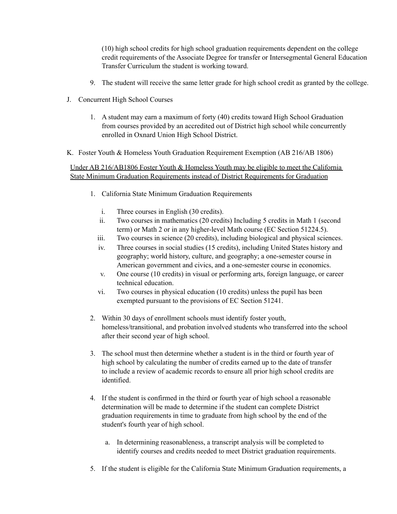(10) high school credits for high school graduation requirements dependent on the college credit requirements of the Associate Degree for transfer or Intersegmental General Education Transfer Curriculum the student is working toward.

- 9. The student will receive the same letter grade for high school credit as granted by the college.
- J. Concurrent High School Courses
	- 1. A student may earn a maximum of forty (40) credits toward High School Graduation from courses provided by an accredited out of District high school while concurrently enrolled in Oxnard Union High School District.
- K. Foster Youth & Homeless Youth Graduation Requirement Exemption (AB 216/AB 1806)

Under AB 216/AB1806 Foster Youth & Homeless Youth may be eligible to meet the California State Minimum Graduation Requirements instead of District Requirements for Graduation

- 1. California State Minimum Graduation Requirements
	- i. Three courses in English (30 credits).
	- ii. Two courses in mathematics (20 credits) Including 5 credits in Math 1 (second term) or Math 2 or in any higher-level Math course (EC Section 51224.5).
	- iii. Two courses in science (20 credits), including biological and physical sciences.
	- iv. Three courses in social studies (15 credits), including United States history and geography; world history, culture, and geography; a one-semester course in American government and civics, and a one-semester course in economics.
	- v. One course (10 credits) in visual or performing arts, foreign language, or career technical education.
	- vi. Two courses in physical education (10 credits) unless the pupil has been exempted pursuant to the provisions of EC Section 51241.
- 2. Within 30 days of enrollment schools must identify foster youth, homeless/transitional, and probation involved students who transferred into the school after their second year of high school.
- 3. The school must then determine whether a student is in the third or fourth year of high school by calculating the number of credits earned up to the date of transfer to include a review of academic records to ensure all prior high school credits are identified.
- 4. If the student is confirmed in the third or fourth year of high school a reasonable determination will be made to determine if the student can complete District graduation requirements in time to graduate from high school by the end of the student's fourth year of high school.
	- a. In determining reasonableness, a transcript analysis will be completed to identify courses and credits needed to meet District graduation requirements.
- 5. If the student is eligible for the California State Minimum Graduation requirements, a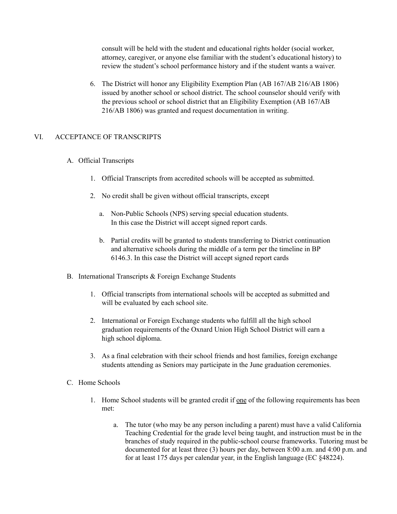consult will be held with the student and educational rights holder (social worker, attorney, caregiver, or anyone else familiar with the student's educational history) to review the student's school performance history and if the student wants a waiver.

6. The District will honor any Eligibility Exemption Plan (AB 167/AB 216/AB 1806) issued by another school or school district. The school counselor should verify with the previous school or school district that an Eligibility Exemption (AB 167/AB 216/AB 1806) was granted and request documentation in writing.

## VI. ACCEPTANCE OF TRANSCRIPTS

- A. Official Transcripts
	- 1. Official Transcripts from accredited schools will be accepted as submitted.
	- 2. No credit shall be given without official transcripts, except
		- a. Non-Public Schools (NPS) serving special education students. In this case the District will accept signed report cards.
		- b. Partial credits will be granted to students transferring to District continuation and alternative schools during the middle of a term per the timeline in BP 6146.3. In this case the District will accept signed report cards
- B. International Transcripts & Foreign Exchange Students
	- 1. Official transcripts from international schools will be accepted as submitted and will be evaluated by each school site.
	- 2. International or Foreign Exchange students who fulfill all the high school graduation requirements of the Oxnard Union High School District will earn a high school diploma.
	- 3. As a final celebration with their school friends and host families, foreign exchange students attending as Seniors may participate in the June graduation ceremonies.
- C. Home Schools
	- 1. Home School students will be granted credit if one of the following requirements has been met:
		- a. The tutor (who may be any person including a parent) must have a valid California Teaching Credential for the grade level being taught, and instruction must be in the branches of study required in the public-school course frameworks. Tutoring must be documented for at least three (3) hours per day, between 8:00 a.m. and 4:00 p.m. and for at least 175 days per calendar year, in the English language (EC §48224).